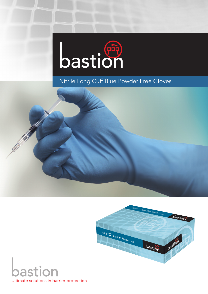

# Nitrile Long Cuff Blue Powder Free Gloves





**Superior Contract Contract Contract Contract Contract Contract Contract Contract Contract Contract Contract C**